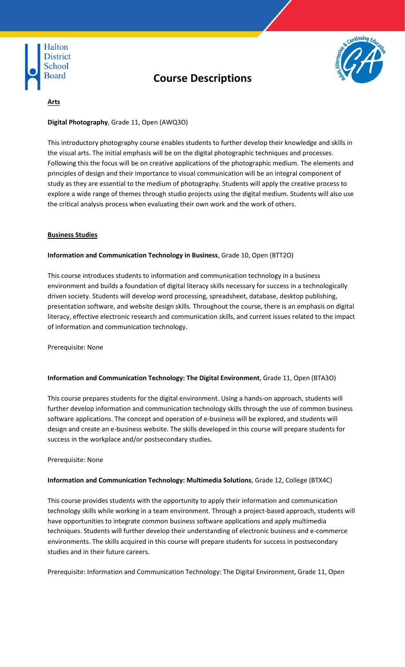

# **Course Descriptions**



# **Arts**

# **Digital Photography**, Grade 11, Open (AWQ3O)

This introductory photography course enables students to further develop their knowledge and skills in the visual arts. The initial emphasis will be on the digital photographic techniques and processes. Following this the focus will be on creative applications of the photographic medium. The elements and principles of design and their importance to visual communication will be an integral component of study as they are essential to the medium of photography. Students will apply the creative process to explore a wide range of themes through studio projects using the digital medium. Students will also use the critical analysis process when evaluating their own work and the work of others.

## **Business Studies**

## **Information and Communication Technology in Business**, Grade 10, Open (BTT2O)

This course introduces students to information and communication technology in a business environment and builds a foundation of digital literacy skills necessary for success in a technologically driven society. Students will develop word processing, spreadsheet, database, desktop publishing, presentation software, and website design skills. Throughout the course, there is an emphasis on digital literacy, effective electronic research and communication skills, and current issues related to the impact of information and communication technology.

Prerequisite: None

#### **Information and Communication Technology: The Digital Environment**, Grade 11, Open (BTA3O)

This course prepares students for the digital environment. Using a hands-on approach, students will further develop information and communication technology skills through the use of common business software applications. The concept and operation of e-business will be explored, and students will design and create an e-business website. The skills developed in this course will prepare students for success in the workplace and/or postsecondary studies.

#### Prerequisite: None

#### **Information and Communication Technology: Multimedia Solutions**, Grade 12, College (BTX4C)

This course provides students with the opportunity to apply their information and communication technology skills while working in a team environment. Through a project-based approach, students will have opportunities to integrate common business software applications and apply multimedia techniques. Students will further develop their understanding of electronic business and e-commerce environments. The skills acquired in this course will prepare students for success in postsecondary studies and in their future careers.

Prerequisite: Information and Communication Technology: The Digital Environment, Grade 11, Open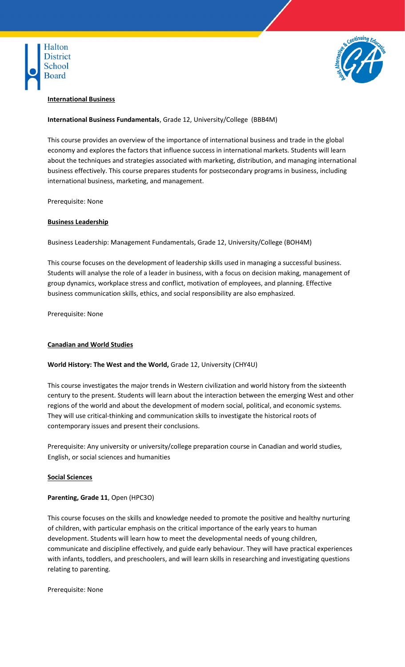



#### **International Business**

# **International Business Fundamentals**, Grade 12, University/College (BBB4M)

This course provides an overview of the importance of international business and trade in the global economy and explores the factors that influence success in international markets. Students will learn about the techniques and strategies associated with marketing, distribution, and managing international business effectively. This course prepares students for postsecondary programs in business, including international business, marketing, and management.

Prerequisite: None

#### **Business Leadership**

Business Leadership: Management Fundamentals, Grade 12, University/College (BOH4M)

This course focuses on the development of leadership skills used in managing a successful business. Students will analyse the role of a leader in business, with a focus on decision making, management of group dynamics, workplace stress and conflict, motivation of employees, and planning. Effective business communication skills, ethics, and social responsibility are also emphasized.

Prerequisite: None

#### **Canadian and World Studies**

#### **World History: The West and the World,** Grade 12, University (CHY4U)

This course investigates the major trends in Western civilization and world history from the sixteenth century to the present. Students will learn about the interaction between the emerging West and other regions of the world and about the development of modern social, political, and economic systems. They will use critical-thinking and communication skills to investigate the historical roots of contemporary issues and present their conclusions.

Prerequisite: Any university or university/college preparation course in Canadian and world studies, English, or social sciences and humanities

#### **Social Sciences**

**Parenting, Grade 11**, Open (HPC3O)

This course focuses on the skills and knowledge needed to promote the positive and healthy nurturing of children, with particular emphasis on the critical importance of the early years to human development. Students will learn how to meet the developmental needs of young children, communicate and discipline effectively, and guide early behaviour. They will have practical experiences with infants, toddlers, and preschoolers, and will learn skills in researching and investigating questions relating to parenting.

Prerequisite: None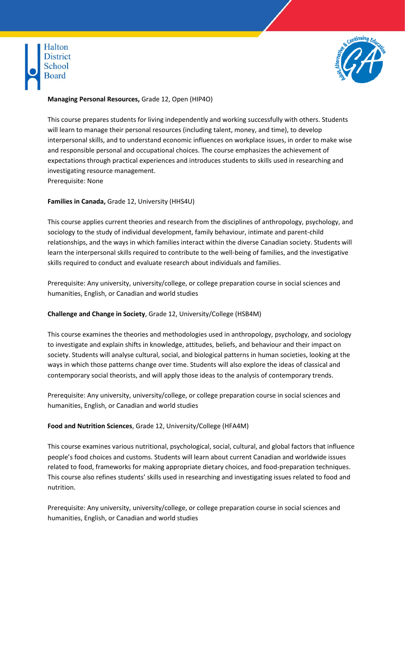



# **Managing Personal Resources,** Grade 12, Open (HIP4O)

This course prepares students for living independently and working successfully with others. Students will learn to manage their personal resources (including talent, money, and time), to develop interpersonal skills, and to understand economic influences on workplace issues, in order to make wise and responsible personal and occupational choices. The course emphasizes the achievement of expectations through practical experiences and introduces students to skills used in researching and investigating resource management. Prerequisite: None

**Families in Canada,** Grade 12, University (HHS4U)

This course applies current theories and research from the disciplines of anthropology, psychology, and sociology to the study of individual development, family behaviour, intimate and parent-child relationships, and the ways in which families interact within the diverse Canadian society. Students will learn the interpersonal skills required to contribute to the well-being of families, and the investigative skills required to conduct and evaluate research about individuals and families.

Prerequisite: Any university, university/college, or college preparation course in social sciences and humanities, English, or Canadian and world studies

#### **Challenge and Change in Society**, Grade 12, University/College (HSB4M)

This course examines the theories and methodologies used in anthropology, psychology, and sociology to investigate and explain shifts in knowledge, attitudes, beliefs, and behaviour and their impact on society. Students will analyse cultural, social, and biological patterns in human societies, looking at the ways in which those patterns change over time. Students will also explore the ideas of classical and contemporary social theorists, and will apply those ideas to the analysis of contemporary trends.

Prerequisite: Any university, university/college, or college preparation course in social sciences and humanities, English, or Canadian and world studies

#### **Food and Nutrition Sciences**, Grade 12, University/College (HFA4M)

This course examines various nutritional, psychological, social, cultural, and global factors that influence people's food choices and customs. Students will learn about current Canadian and worldwide issues related to food, frameworks for making appropriate dietary choices, and food-preparation techniques. This course also refines students' skills used in researching and investigating issues related to food and nutrition.

Prerequisite: Any university, university/college, or college preparation course in social sciences and humanities, English, or Canadian and world studies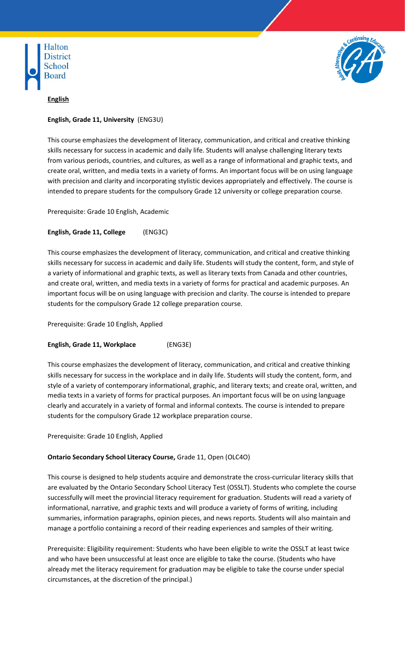



# **English**

# **English, Grade 11, University** (ENG3U)

This course emphasizes the development of literacy, communication, and critical and creative thinking skills necessary for success in academic and daily life. Students will analyse challenging literary texts from various periods, countries, and cultures, as well as a range of informational and graphic texts, and create oral, written, and media texts in a variety of forms. An important focus will be on using language with precision and clarity and incorporating stylistic devices appropriately and effectively. The course is intended to prepare students for the compulsory Grade 12 university or college preparation course.

Prerequisite: Grade 10 English, Academic

# **English, Grade 11, College** (ENG3C)

This course emphasizes the development of literacy, communication, and critical and creative thinking skills necessary for success in academic and daily life. Students will study the content, form, and style of a variety of informational and graphic texts, as well as literary texts from Canada and other countries, and create oral, written, and media texts in a variety of forms for practical and academic purposes. An important focus will be on using language with precision and clarity. The course is intended to prepare students for the compulsory Grade 12 college preparation course.

Prerequisite: Grade 10 English, Applied

# **English, Grade 11, Workplace** (ENG3E)

This course emphasizes the development of literacy, communication, and critical and creative thinking skills necessary for success in the workplace and in daily life. Students will study the content, form, and style of a variety of contemporary informational, graphic, and literary texts; and create oral, written, and media texts in a variety of forms for practical purposes. An important focus will be on using language clearly and accurately in a variety of formal and informal contexts. The course is intended to prepare students for the compulsory Grade 12 workplace preparation course.

#### Prerequisite: Grade 10 English, Applied

# **Ontario Secondary School Literacy Course,** Grade 11, Open (OLC4O)

This course is designed to help students acquire and demonstrate the cross-curricular literacy skills that are evaluated by the Ontario Secondary School Literacy Test (OSSLT). Students who complete the course successfully will meet the provincial literacy requirement for graduation. Students will read a variety of informational, narrative, and graphic texts and will produce a variety of forms of writing, including summaries, information paragraphs, opinion pieces, and news reports. Students will also maintain and manage a portfolio containing a record of their reading experiences and samples of their writing.

Prerequisite: Eligibility requirement: Students who have been eligible to write the OSSLT at least twice and who have been unsuccessful at least once are eligible to take the course. (Students who have already met the literacy requirement for graduation may be eligible to take the course under special circumstances, at the discretion of the principal.)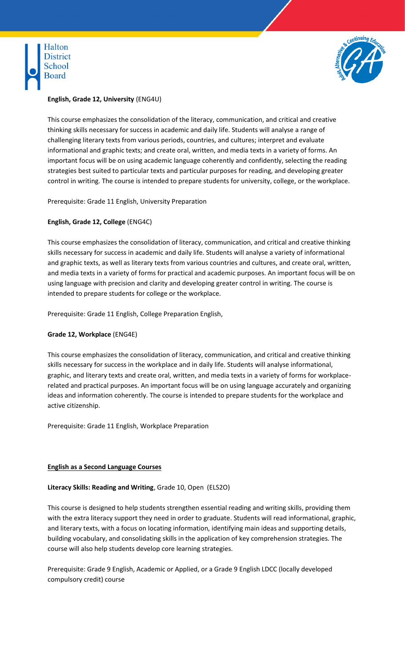



# **English, Grade 12, University** (ENG4U)

This course emphasizes the consolidation of the literacy, communication, and critical and creative thinking skills necessary for success in academic and daily life. Students will analyse a range of challenging literary texts from various periods, countries, and cultures; interpret and evaluate informational and graphic texts; and create oral, written, and media texts in a variety of forms. An important focus will be on using academic language coherently and confidently, selecting the reading strategies best suited to particular texts and particular purposes for reading, and developing greater control in writing. The course is intended to prepare students for university, college, or the workplace.

Prerequisite: Grade 11 English, University Preparation

# **English, Grade 12, College** (ENG4C)

This course emphasizes the consolidation of literacy, communication, and critical and creative thinking skills necessary for success in academic and daily life. Students will analyse a variety of informational and graphic texts, as well as literary texts from various countries and cultures, and create oral, written, and media texts in a variety of forms for practical and academic purposes. An important focus will be on using language with precision and clarity and developing greater control in writing. The course is intended to prepare students for college or the workplace.

Prerequisite: Grade 11 English, College Preparation English,

# **Grade 12, Workplace** (ENG4E)

This course emphasizes the consolidation of literacy, communication, and critical and creative thinking skills necessary for success in the workplace and in daily life. Students will analyse informational, graphic, and literary texts and create oral, written, and media texts in a variety of forms for workplacerelated and practical purposes. An important focus will be on using language accurately and organizing ideas and information coherently. The course is intended to prepare students for the workplace and active citizenship.

Prerequisite: Grade 11 English, Workplace Preparation

#### **English as a Second Language Courses**

# **Literacy Skills: Reading and Writing**, Grade 10, Open (ELS2O)

This course is designed to help students strengthen essential reading and writing skills, providing them with the extra literacy support they need in order to graduate. Students will read informational, graphic, and literary texts, with a focus on locating information, identifying main ideas and supporting details, building vocabulary, and consolidating skills in the application of key comprehension strategies. The course will also help students develop core learning strategies.

Prerequisite: Grade 9 English, Academic or Applied, or a Grade 9 English LDCC (locally developed compulsory credit) course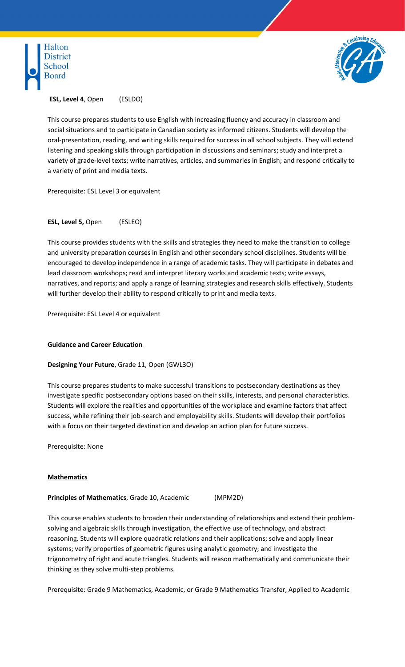



**ESL, Level 4**, Open (ESLDO)

This course prepares students to use English with increasing fluency and accuracy in classroom and social situations and to participate in Canadian society as informed citizens. Students will develop the oral-presentation, reading, and writing skills required for success in all school subjects. They will extend listening and speaking skills through participation in discussions and seminars; study and interpret a variety of grade-level texts; write narratives, articles, and summaries in English; and respond critically to a variety of print and media texts.

Prerequisite: ESL Level 3 or equivalent

**ESL, Level 5,** Open (ESLEO)

This course provides students with the skills and strategies they need to make the transition to college and university preparation courses in English and other secondary school disciplines. Students will be encouraged to develop independence in a range of academic tasks. They will participate in debates and lead classroom workshops; read and interpret literary works and academic texts; write essays, narratives, and reports; and apply a range of learning strategies and research skills effectively. Students will further develop their ability to respond critically to print and media texts.

Prerequisite: ESL Level 4 or equivalent

#### **Guidance and Career Education**

#### **Designing Your Future**, Grade 11, Open (GWL3O)

This course prepares students to make successful transitions to postsecondary destinations as they investigate specific postsecondary options based on their skills, interests, and personal characteristics. Students will explore the realities and opportunities of the workplace and examine factors that affect success, while refining their job-search and employability skills. Students will develop their portfolios with a focus on their targeted destination and develop an action plan for future success.

Prerequisite: None

#### **Mathematics**

**Principles of Mathematics**, Grade 10, Academic (MPM2D)

This course enables students to broaden their understanding of relationships and extend their problemsolving and algebraic skills through investigation, the effective use of technology, and abstract reasoning. Students will explore quadratic relations and their applications; solve and apply linear systems; verify properties of geometric figures using analytic geometry; and investigate the trigonometry of right and acute triangles. Students will reason mathematically and communicate their thinking as they solve multi-step problems.

Prerequisite: Grade 9 Mathematics, Academic, or Grade 9 Mathematics Transfer, Applied to Academic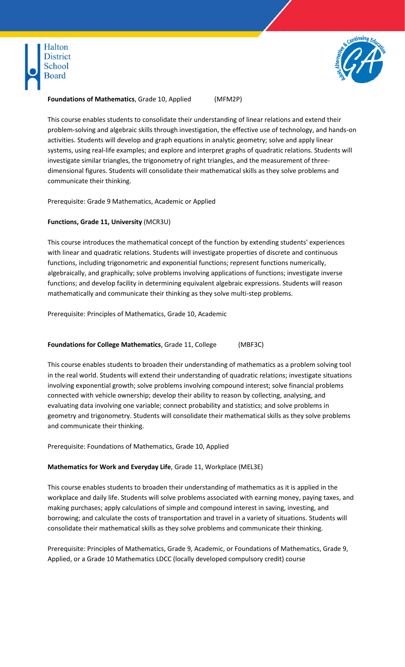



#### **Foundations of Mathematics**, Grade 10, Applied (MFM2P)

This course enables students to consolidate their understanding of linear relations and extend their problem-solving and algebraic skills through investigation, the effective use of technology, and hands-on activities. Students will develop and graph equations in analytic geometry; solve and apply linear systems, using real-life examples; and explore and interpret graphs of quadratic relations. Students will investigate similar triangles, the trigonometry of right triangles, and the measurement of threedimensional figures. Students will consolidate their mathematical skills as they solve problems and communicate their thinking.

Prerequisite: Grade 9 Mathematics, Academic or Applied

# **Functions, Grade 11, University** (MCR3U)

This course introduces the mathematical concept of the function by extending students' experiences with linear and quadratic relations. Students will investigate properties of discrete and continuous functions, including trigonometric and exponential functions; represent functions numerically, algebraically, and graphically; solve problems involving applications of functions; investigate inverse functions; and develop facility in determining equivalent algebraic expressions. Students will reason mathematically and communicate their thinking as they solve multi-step problems.

Prerequisite: Principles of Mathematics, Grade 10, Academic

**Foundations for College Mathematics**, Grade 11, College (MBF3C)

This course enables students to broaden their understanding of mathematics as a problem solving tool in the real world. Students will extend their understanding of quadratic relations; investigate situations involving exponential growth; solve problems involving compound interest; solve financial problems connected with vehicle ownership; develop their ability to reason by collecting, analysing, and evaluating data involving one variable; connect probability and statistics; and solve problems in geometry and trigonometry. Students will consolidate their mathematical skills as they solve problems and communicate their thinking.

Prerequisite: Foundations of Mathematics, Grade 10, Applied

# **Mathematics for Work and Everyday Life**, Grade 11, Workplace (MEL3E)

This course enables students to broaden their understanding of mathematics as it is applied in the workplace and daily life. Students will solve problems associated with earning money, paying taxes, and making purchases; apply calculations of simple and compound interest in saving, investing, and borrowing; and calculate the costs of transportation and travel in a variety of situations. Students will consolidate their mathematical skills as they solve problems and communicate their thinking.

Prerequisite: Principles of Mathematics, Grade 9, Academic, or Foundations of Mathematics, Grade 9, Applied, or a Grade 10 Mathematics LDCC (locally developed compulsory credit) course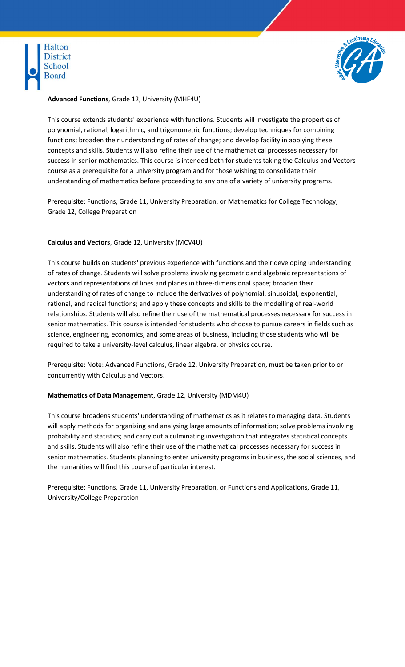



## **Advanced Functions**, Grade 12, University (MHF4U)

This course extends students' experience with functions. Students will investigate the properties of polynomial, rational, logarithmic, and trigonometric functions; develop techniques for combining functions; broaden their understanding of rates of change; and develop facility in applying these concepts and skills. Students will also refine their use of the mathematical processes necessary for success in senior mathematics. This course is intended both for students taking the Calculus and Vectors course as a prerequisite for a university program and for those wishing to consolidate their understanding of mathematics before proceeding to any one of a variety of university programs.

Prerequisite: Functions, Grade 11, University Preparation, or Mathematics for College Technology, Grade 12, College Preparation

## **Calculus and Vectors**, Grade 12, University (MCV4U)

This course builds on students' previous experience with functions and their developing understanding of rates of change. Students will solve problems involving geometric and algebraic representations of vectors and representations of lines and planes in three-dimensional space; broaden their understanding of rates of change to include the derivatives of polynomial, sinusoidal, exponential, rational, and radical functions; and apply these concepts and skills to the modelling of real-world relationships. Students will also refine their use of the mathematical processes necessary for success in senior mathematics. This course is intended for students who choose to pursue careers in fields such as science, engineering, economics, and some areas of business, including those students who will be required to take a university-level calculus, linear algebra, or physics course.

Prerequisite: Note: Advanced Functions, Grade 12, University Preparation, must be taken prior to or concurrently with Calculus and Vectors.

#### **Mathematics of Data Management**, Grade 12, University (MDM4U)

This course broadens students' understanding of mathematics as it relates to managing data. Students will apply methods for organizing and analysing large amounts of information; solve problems involving probability and statistics; and carry out a culminating investigation that integrates statistical concepts and skills. Students will also refine their use of the mathematical processes necessary for success in senior mathematics. Students planning to enter university programs in business, the social sciences, and the humanities will find this course of particular interest.

Prerequisite: Functions, Grade 11, University Preparation, or Functions and Applications, Grade 11, University/College Preparation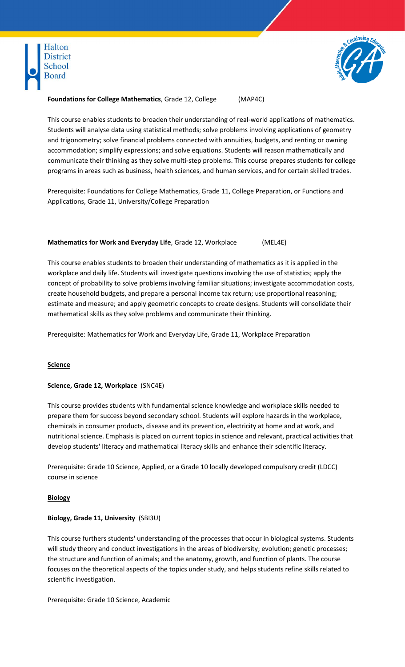



#### **Foundations for College Mathematics**, Grade 12, College (MAP4C)

This course enables students to broaden their understanding of real-world applications of mathematics. Students will analyse data using statistical methods; solve problems involving applications of geometry and trigonometry; solve financial problems connected with annuities, budgets, and renting or owning accommodation; simplify expressions; and solve equations. Students will reason mathematically and communicate their thinking as they solve multi-step problems. This course prepares students for college programs in areas such as business, health sciences, and human services, and for certain skilled trades.

Prerequisite: Foundations for College Mathematics, Grade 11, College Preparation, or Functions and Applications, Grade 11, University/College Preparation

# **Mathematics for Work and Everyday Life**, Grade 12, Workplace (MEL4E)

This course enables students to broaden their understanding of mathematics as it is applied in the workplace and daily life. Students will investigate questions involving the use of statistics; apply the concept of probability to solve problems involving familiar situations; investigate accommodation costs, create household budgets, and prepare a personal income tax return; use proportional reasoning; estimate and measure; and apply geometric concepts to create designs. Students will consolidate their mathematical skills as they solve problems and communicate their thinking.

Prerequisite: Mathematics for Work and Everyday Life, Grade 11, Workplace Preparation

#### **Science**

#### **Science, Grade 12, Workplace** (SNC4E)

This course provides students with fundamental science knowledge and workplace skills needed to prepare them for success beyond secondary school. Students will explore hazards in the workplace, chemicals in consumer products, disease and its prevention, electricity at home and at work, and nutritional science. Emphasis is placed on current topics in science and relevant, practical activities that develop students' literacy and mathematical literacy skills and enhance their scientific literacy.

Prerequisite: Grade 10 Science, Applied, or a Grade 10 locally developed compulsory credit (LDCC) course in science

#### **Biology**

#### **Biology, Grade 11, University** (SBI3U)

This course furthers students' understanding of the processes that occur in biological systems. Students will study theory and conduct investigations in the areas of biodiversity; evolution; genetic processes; the structure and function of animals; and the anatomy, growth, and function of plants. The course focuses on the theoretical aspects of the topics under study, and helps students refine skills related to scientific investigation.

Prerequisite: Grade 10 Science, Academic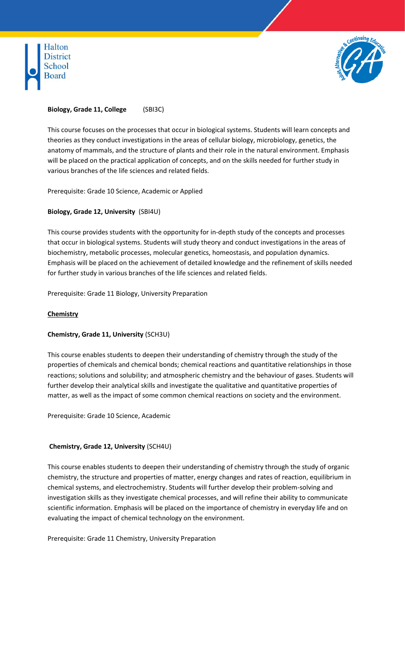



# **Biology, Grade 11, College** (SBI3C)

This course focuses on the processes that occur in biological systems. Students will learn concepts and theories as they conduct investigations in the areas of cellular biology, microbiology, genetics, the anatomy of mammals, and the structure of plants and their role in the natural environment. Emphasis will be placed on the practical application of concepts, and on the skills needed for further study in various branches of the life sciences and related fields.

Prerequisite: Grade 10 Science, Academic or Applied

# **Biology, Grade 12, University** (SBI4U)

This course provides students with the opportunity for in-depth study of the concepts and processes that occur in biological systems. Students will study theory and conduct investigations in the areas of biochemistry, metabolic processes, molecular genetics, homeostasis, and population dynamics. Emphasis will be placed on the achievement of detailed knowledge and the refinement of skills needed for further study in various branches of the life sciences and related fields.

Prerequisite: Grade 11 Biology, University Preparation

## **Chemistry**

# **Chemistry, Grade 11, University** (SCH3U)

This course enables students to deepen their understanding of chemistry through the study of the properties of chemicals and chemical bonds; chemical reactions and quantitative relationships in those reactions; solutions and solubility; and atmospheric chemistry and the behaviour of gases. Students will further develop their analytical skills and investigate the qualitative and quantitative properties of matter, as well as the impact of some common chemical reactions on society and the environment.

Prerequisite: Grade 10 Science, Academic

# **Chemistry, Grade 12, University** (SCH4U)

This course enables students to deepen their understanding of chemistry through the study of organic chemistry, the structure and properties of matter, energy changes and rates of reaction, equilibrium in chemical systems, and electrochemistry. Students will further develop their problem-solving and investigation skills as they investigate chemical processes, and will refine their ability to communicate scientific information. Emphasis will be placed on the importance of chemistry in everyday life and on evaluating the impact of chemical technology on the environment.

Prerequisite: Grade 11 Chemistry, University Preparation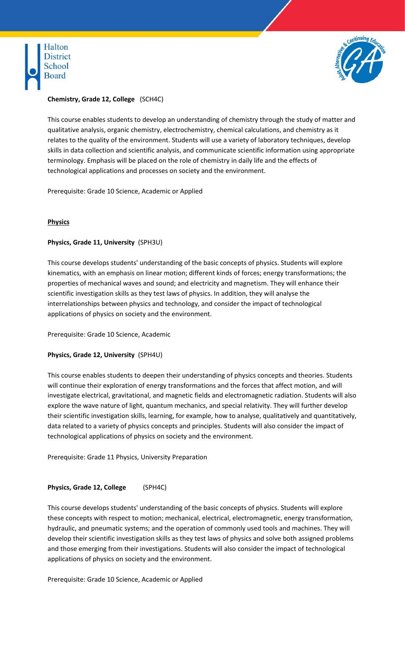



# **Chemistry, Grade 12, College** (SCH4C)

This course enables students to develop an understanding of chemistry through the study of matter and qualitative analysis, organic chemistry, electrochemistry, chemical calculations, and chemistry as it relates to the quality of the environment. Students will use a variety of laboratory techniques, develop skills in data collection and scientific analysis, and communicate scientific information using appropriate terminology. Emphasis will be placed on the role of chemistry in daily life and the effects of technological applications and processes on society and the environment.

Prerequisite: Grade 10 Science, Academic or Applied

# **Physics**

# **Physics, Grade 11, University** (SPH3U)

This course develops students' understanding of the basic concepts of physics. Students will explore kinematics, with an emphasis on linear motion; different kinds of forces; energy transformations; the properties of mechanical waves and sound; and electricity and magnetism. They will enhance their scientific investigation skills as they test laws of physics. In addition, they will analyse the interrelationships between physics and technology, and consider the impact of technological applications of physics on society and the environment.

Prerequisite: Grade 10 Science, Academic

# **Physics, Grade 12, University** (SPH4U)

This course enables students to deepen their understanding of physics concepts and theories. Students will continue their exploration of energy transformations and the forces that affect motion, and will investigate electrical, gravitational, and magnetic fields and electromagnetic radiation. Students will also explore the wave nature of light, quantum mechanics, and special relativity. They will further develop their scientific investigation skills, learning, for example, how to analyse, qualitatively and quantitatively, data related to a variety of physics concepts and principles. Students will also consider the impact of technological applications of physics on society and the environment.

Prerequisite: Grade 11 Physics, University Preparation

# **Physics, Grade 12, College** (SPH4C)

This course develops students' understanding of the basic concepts of physics. Students will explore these concepts with respect to motion; mechanical, electrical, electromagnetic, energy transformation, hydraulic, and pneumatic systems; and the operation of commonly used tools and machines. They will develop their scientific investigation skills as they test laws of physics and solve both assigned problems and those emerging from their investigations. Students will also consider the impact of technological applications of physics on society and the environment.

Prerequisite: Grade 10 Science, Academic or Applied